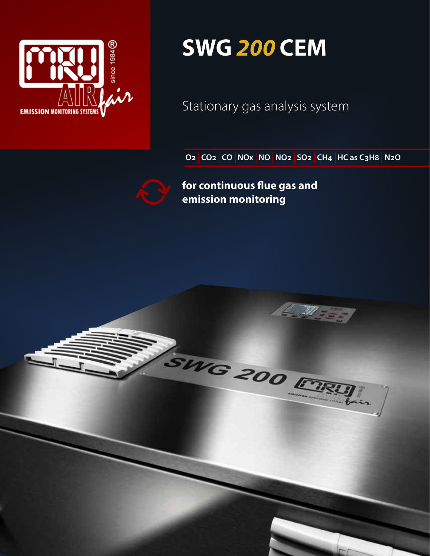

### **SWG** *200* **CEM**

Stationary gas analysis system

**O2 CO2 CO NOX NO NO2 SO2 CH4 HC as C3H8 N2O** 

**for continuous flue gas and emission monitoring**

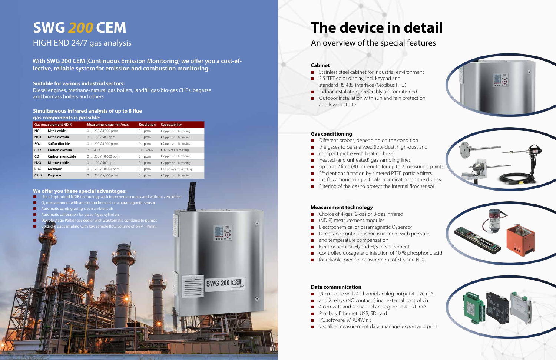### **SWG** *200* **CEM** HIGH END 24/7 gas analysis

**With SWG 200 CEM (Continuous Emission Monitoring) we offer you a cost-effective, reliable system for emission and combustion monitoring.**

#### **Suitable for various industrial sectors:**

Diesel engines, methane/natural gas boilers, landfill gas/bio-gas CHPs, bagasse and biomass boilers and others

#### **Simultaneous infrared analysis of up to 8 flue gas components is possible:**

#### **We offer you these special advantages:**

- Use of optimized NDIR technology with improved accuracy and without zero offset
- measurement with an electrochemical or a paramagnetic sensor
- atic zeroing using clean ambient air
- atomatic calibration for up to 4 gas cylinders
- stage Peltier gas cooler with 2 automatic condensate pumps
- Cold/dry gas sampling with low sample flow volume of only 1 l/min.

| <b>Gas measurement NDIR</b>   |                 | Measuring range min/max | <b>Resolution</b> | <b>Repeatability</b>       |
|-------------------------------|-----------------|-------------------------|-------------------|----------------------------|
| <b>NO</b>                     | Nitric oxide    | $0200/4,000$ ppm        | $0.1$ ppm         | $±$ 2 ppm or 1 % reading   |
| <b>NO<sub>2</sub></b>         | Nitric dioxide  | $0150/500$ ppm          | $0.1$ ppm         | $± 1$ ppm or 1 % reading   |
| SO <sub>2</sub>               | Sulfur dioxide  | $0200/4,000$ ppm        | $0.1$ ppm         | $±$ 2 ppm or 1 % reading   |
| CO <sub>2</sub>               | Carbon dioxide  | $040\%$                 | 0.01 Vol%         | $\pm$ 0.2 % or 1 % reading |
| CO.                           | Carbon monoxide | $0200/10,000$ ppm       | $0.1$ ppm         | $±$ 2 ppm or 1 % reading   |
| <b>N2O</b>                    | Nitrous oxide   | $0100/500$ ppm          | $0.1$ ppm         | $±$ 2 ppm or 1 % reading   |
| CH <sub>4</sub>               | Methane         | $0500/10,000$ ppm       | $0.1$ ppm         | ± 10 ppm or 1 % reading    |
| C <sub>3</sub> H <sub>8</sub> | Propane         | $0200/5,000$ ppm        | $0.1$ ppm         | $±$ 2 ppm or 1 % reading   |

- Stainless steel cabinet for industrial environment
- 3.5" TFT color display, incl. keypad and standard RS 485 interface (Modbus RTU)
- Indoor installation, preferably air-conditioned
- **Outdoor installation with sun and rain protection** and low dust site

## **The device in detail**

An overview of the special features

### **Cabinet**

#### **Gas conditioning**

- Different probes, depending on the condition
- the gases to be analyzed (low-dust, high-dust and
- compact probe with heating hose)
- Heated (and unheated) gas sampling lines
- up to 262 foot (80 m) length for up to 2 measuring points
- **Efficient gas filtration by sintered PTFE particle filters**
- Int. flow monitoring with alarm indication on the display
- Filtering of the gas to protect the internal flow sensor

#### **Measurement technology**

- Choice of 4-gas, 6-gas or 8-gas infrared
- (NDIR) measurement modules
- Electrochemical or paramagnetic  $O<sub>2</sub>$  sensor
- Direct and continuous measurement with pressure
- and temperature compensation
- Electrochemical  $H_2$  and  $H_2S$  measurement
- Controlled dosage and injection of 10 % phosphoric acid
- for reliable, precise measurement of  $SO<sub>2</sub>$  and  $NO<sub>2</sub>$

#### **Data communication**

**SWG 200 CRU** 

- I/O module with 4-channel analog output 4 ... 20 mA
- and 2 relays (NO contacts) incl. external control via
- 4 contacts and 4-channel analog input 4 ... 20 mA
- **Profibus, Ethernet, USB, SD card**
- PC software "MRU4Win":
- visualize measurement data, manage, export and print